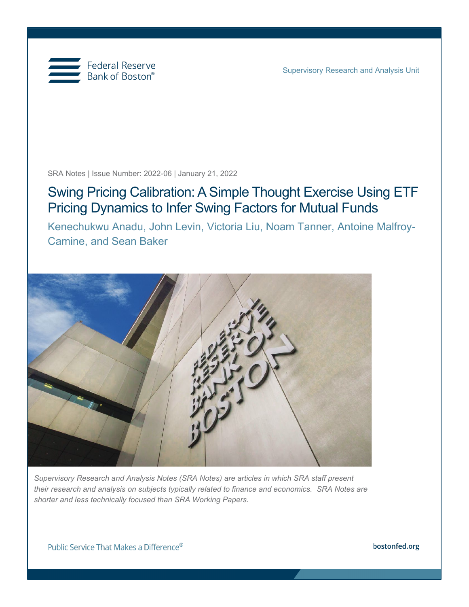

SRA Notes | Issue Number: 2022-06 | January 21, 2022

# Swing Pricing Calibration: A Simple Thought Exercise Using ETF Pricing Dynamics to Infer Swing Factors for Mutual Funds

Kenechukwu Anadu, John Levin, Victoria Liu, Noam Tanner, Antoine Malfroy-Camine, and Sean Baker



*Supervisory Research and Analysis Notes (SRA Notes) are articles in which SRA staff present their research and analysis on subjects typically related to finance and economics. SRA Notes are shorter and less technically focused than SRA Working Papers.*

bostonfed.org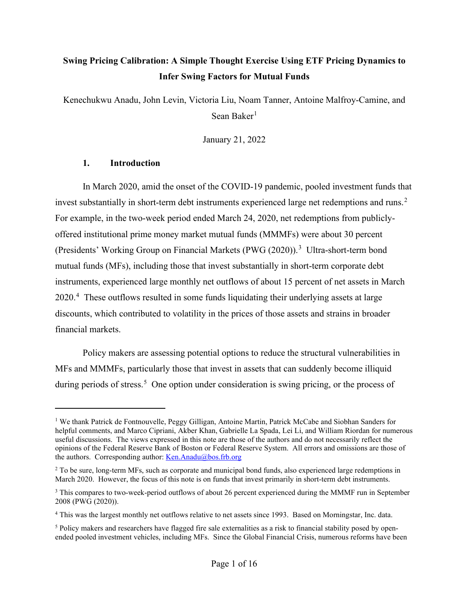## **Swing Pricing Calibration: A Simple Thought Exercise Using ETF Pricing Dynamics to Infer Swing Factors for Mutual Funds**

Kenechukwu Anadu, John Levin, Victoria Liu, Noam Tanner, Antoine Malfroy-Camine, and Sean Baker $<sup>1</sup>$  $<sup>1</sup>$  $<sup>1</sup>$ </sup>

January 21, 2022

#### **1. Introduction**

In March 2020, amid the onset of the COVID-19 pandemic, pooled investment funds that invest substantially in short-term debt instruments experienced large net redemptions and runs. [2](#page-1-1) For example, in the two-week period ended March 24, 2020, net redemptions from publiclyoffered institutional prime money market mutual funds (MMMFs) were about 30 percent (Presidents' Working Group on Financial Markets (PWG (2020)).<sup>[3](#page-1-2)</sup> Ultra-short-term bond mutual funds (MFs), including those that invest substantially in short-term corporate debt instruments, experienced large monthly net outflows of about 15 percent of net assets in March 2020.<sup>[4](#page-1-3)</sup> These outflows resulted in some funds liquidating their underlying assets at large discounts, which contributed to volatility in the prices of those assets and strains in broader financial markets.

Policy makers are assessing potential options to reduce the structural vulnerabilities in MFs and MMMFs, particularly those that invest in assets that can suddenly become illiquid during periods of stress.<sup>[5](#page-1-4)</sup> One option under consideration is swing pricing, or the process of

<span id="page-1-0"></span><sup>&</sup>lt;sup>1</sup> We thank Patrick de Fontnouvelle, Peggy Gilligan, Antoine Martin, Patrick McCabe and Siobhan Sanders for helpful comments, and Marco Cipriani, Akber Khan, Gabrielle La Spada, Lei Li, and William Riordan for numerous useful discussions. The views expressed in this note are those of the authors and do not necessarily reflect the opinions of the Federal Reserve Bank of Boston or Federal Reserve System. All errors and omissions are those of the authors. Corresponding author:  $\text{Ken.Anadu@bos.frb.org}$ 

<span id="page-1-1"></span><sup>&</sup>lt;sup>2</sup> To be sure, long-term MFs, such as corporate and municipal bond funds, also experienced large redemptions in March 2020. However, the focus of this note is on funds that invest primarily in short-term debt instruments.

<span id="page-1-2"></span><sup>&</sup>lt;sup>3</sup> This compares to two-week-period outflows of about 26 percent experienced during the MMMF run in September 2008 (PWG (2020)).

<span id="page-1-3"></span><sup>4</sup> This was the largest monthly net outflows relative to net assets since 1993. Based on Morningstar, Inc. data.

<span id="page-1-4"></span> $<sup>5</sup>$  Policy makers and researchers have flagged fire sale externalities as a risk to financial stability posed by open-</sup> ended pooled investment vehicles, including MFs. Since the Global Financial Crisis, numerous reforms have been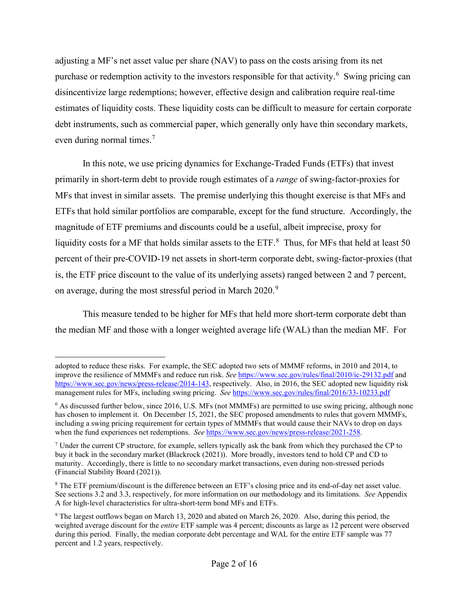adjusting a MF's net asset value per share (NAV) to pass on the costs arising from its net purchase or redemption activity to the investors responsible for that activity.<sup>[6](#page-2-0)</sup> Swing pricing can disincentivize large redemptions; however, effective design and calibration require real-time estimates of liquidity costs. These liquidity costs can be difficult to measure for certain corporate debt instruments, such as commercial paper, which generally only have thin secondary markets, even during normal times. $<sup>7</sup>$  $<sup>7</sup>$  $<sup>7</sup>$ </sup>

In this note, we use pricing dynamics for Exchange-Traded Funds (ETFs) that invest primarily in short-term debt to provide rough estimates of a *range* of swing-factor-proxies for MFs that invest in similar assets. The premise underlying this thought exercise is that MFs and ETFs that hold similar portfolios are comparable, except for the fund structure. Accordingly, the magnitude of ETF premiums and discounts could be a useful, albeit imprecise, proxy for liquidity costs for a MF that holds similar assets to the ETF. $8$  Thus, for MFs that held at least 50 percent of their pre-COVID-19 net assets in short-term corporate debt, swing-factor-proxies (that is, the ETF price discount to the value of its underlying assets) ranged between 2 and 7 percent, on average, during the most stressful period in March 2020.<sup>[9](#page-2-3)</sup>

This measure tended to be higher for MFs that held more short-term corporate debt than the median MF and those with a longer weighted average life (WAL) than the median MF. For

adopted to reduce these risks. For example, the SEC adopted two sets of MMMF reforms, in 2010 and 2014, to improve the resilience of MMMFs and reduce run risk. *See* <https://www.sec.gov/rules/final/2010/ic-29132.pdf> and [https://www.sec.gov/news/press-release/2014-143,](https://www.sec.gov/news/press-release/2014-143) respectively. Also, in 2016, the SEC adopted new liquidity risk management rules for MFs, including swing pricing. *See* <https://www.sec.gov/rules/final/2016/33-10233.pdf>

<span id="page-2-0"></span><sup>&</sup>lt;sup>6</sup> As discussed further below, since 2016, U.S. MFs (not MMMFs) are permitted to use swing pricing, although none has chosen to implement it. On December 15, 2021, the SEC proposed amendments to rules that govern MMMFs, including a swing pricing requirement for certain types of MMMFs that would cause their NAVs to drop on days when the fund experiences net redemptions. *See <https://www.sec.gov/news/press-release/2021-258>*.

<span id="page-2-1"></span><sup>7</sup> Under the current CP structure, for example, sellers typically ask the bank from which they purchased the CP to buy it back in the secondary market (Blackrock (2021)). More broadly, investors tend to hold CP and CD to maturity. Accordingly, there is little to no secondary market transactions, even during non-stressed periods (Financial Stability Board (2021)).

<span id="page-2-2"></span><sup>8</sup> The ETF premium/discount is the difference between an ETF's closing price and its end-of-day net asset value. See sections 3.2 and 3.3, respectively, for more information on our methodology and its limitations. *See* Appendix A for high-level characteristics for ultra-short-term bond MFs and ETFs.

<span id="page-2-3"></span><sup>9</sup> The largest outflows began on March 13, 2020 and abated on March 26, 2020. Also, during this period, the weighted average discount for the *entire* ETF sample was 4 percent; discounts as large as 12 percent were observed during this period. Finally, the median corporate debt percentage and WAL for the entire ETF sample was 77 percent and 1.2 years, respectively.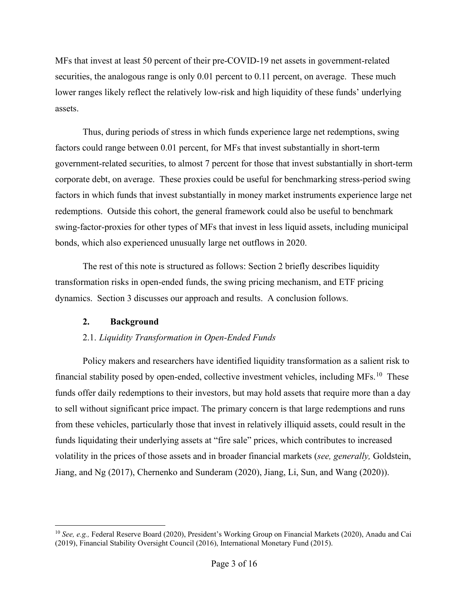MFs that invest at least 50 percent of their pre-COVID-19 net assets in government-related securities, the analogous range is only 0.01 percent to 0.11 percent, on average. These much lower ranges likely reflect the relatively low-risk and high liquidity of these funds' underlying assets.

Thus, during periods of stress in which funds experience large net redemptions, swing factors could range between 0.01 percent, for MFs that invest substantially in short-term government-related securities, to almost 7 percent for those that invest substantially in short-term corporate debt, on average. These proxies could be useful for benchmarking stress-period swing factors in which funds that invest substantially in money market instruments experience large net redemptions. Outside this cohort, the general framework could also be useful to benchmark swing-factor-proxies for other types of MFs that invest in less liquid assets, including municipal bonds, which also experienced unusually large net outflows in 2020.

The rest of this note is structured as follows: Section 2 briefly describes liquidity transformation risks in open-ended funds, the swing pricing mechanism, and ETF pricing dynamics. Section 3 discusses our approach and results. A conclusion follows.

## **2. Background**

## 2.1. *Liquidity Transformation in Open-Ended Funds*

Policy makers and researchers have identified liquidity transformation as a salient risk to financial stability posed by open-ended, collective investment vehicles, including MFs.<sup>[10](#page-3-0)</sup> These funds offer daily redemptions to their investors, but may hold assets that require more than a day to sell without significant price impact. The primary concern is that large redemptions and runs from these vehicles, particularly those that invest in relatively illiquid assets, could result in the funds liquidating their underlying assets at "fire sale" prices, which contributes to increased volatility in the prices of those assets and in broader financial markets (*see, generally,* Goldstein, Jiang, and Ng (2017), Chernenko and Sunderam (2020), Jiang, Li, Sun, and Wang (2020)).

<span id="page-3-0"></span><sup>10</sup> *See, e.g.,* Federal Reserve Board (2020), President's Working Group on Financial Markets (2020), Anadu and Cai (2019), Financial Stability Oversight Council (2016), International Monetary Fund (2015).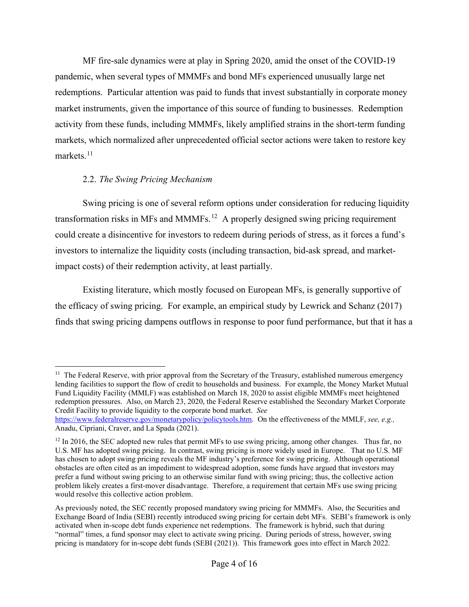MF fire-sale dynamics were at play in Spring 2020, amid the onset of the COVID-19 pandemic, when several types of MMMFs and bond MFs experienced unusually large net redemptions. Particular attention was paid to funds that invest substantially in corporate money market instruments, given the importance of this source of funding to businesses. Redemption activity from these funds, including MMMFs, likely amplified strains in the short-term funding markets, which normalized after unprecedented official sector actions were taken to restore key markets.<sup>[11](#page-4-0)</sup>

## 2.2. *The Swing Pricing Mechanism*

Swing pricing is one of several reform options under consideration for reducing liquidity transformation risks in MFs and MMMFs.<sup>[12](#page-4-1)</sup> A properly designed swing pricing requirement could create a disincentive for investors to redeem during periods of stress, as it forces a fund's investors to internalize the liquidity costs (including transaction, bid-ask spread, and marketimpact costs) of their redemption activity, at least partially.

Existing literature, which mostly focused on European MFs, is generally supportive of the efficacy of swing pricing. For example, an empirical study by Lewrick and Schanz (2017) finds that swing pricing dampens outflows in response to poor fund performance, but that it has a

<span id="page-4-0"></span><sup>&</sup>lt;sup>11</sup> The Federal Reserve, with prior approval from the Secretary of the Treasury, established numerous emergency lending facilities to support the flow of credit to households and business. For example, the Money Market Mutual Fund Liquidity Facility (MMLF) was established on March 18, 2020 to assist eligible MMMFs meet heightened redemption pressures. Also, on March 23, 2020, the Federal Reserve established the Secondary Market Corporate Credit Facility to provide liquidity to the corporate bond market. *See*

[https://www.federalreserve.gov/monetarypolicy/policytools.htm.](https://www.federalreserve.gov/monetarypolicy/policytools.htm) On the effectiveness of the MMLF, *see, e.g.,* Anadu, Cipriani, Craver, and La Spada (2021).

<span id="page-4-1"></span><sup>&</sup>lt;sup>12</sup> In 2016, the SEC adopted new rules that permit MFs to use swing pricing, among other changes. Thus far, no U.S. MF has adopted swing pricing. In contrast, swing pricing is more widely used in Europe. That no U.S. MF has chosen to adopt swing pricing reveals the MF industry's preference for swing pricing. Although operational obstacles are often cited as an impediment to widespread adoption, some funds have argued that investors may prefer a fund without swing pricing to an otherwise similar fund with swing pricing; thus, the collective action problem likely creates a first-mover disadvantage. Therefore, a requirement that certain MFs use swing pricing would resolve this collective action problem.

As previously noted, the SEC recently proposed mandatory swing pricing for MMMFs. Also, the Securities and Exchange Board of India (SEBI) recently introduced swing pricing for certain debt MFs. SEBI's framework is only activated when in-scope debt funds experience net redemptions. The framework is hybrid, such that during "normal" times, a fund sponsor may elect to activate swing pricing. During periods of stress, however, swing pricing is mandatory for in-scope debt funds (SEBI (2021)). This framework goes into effect in March 2022.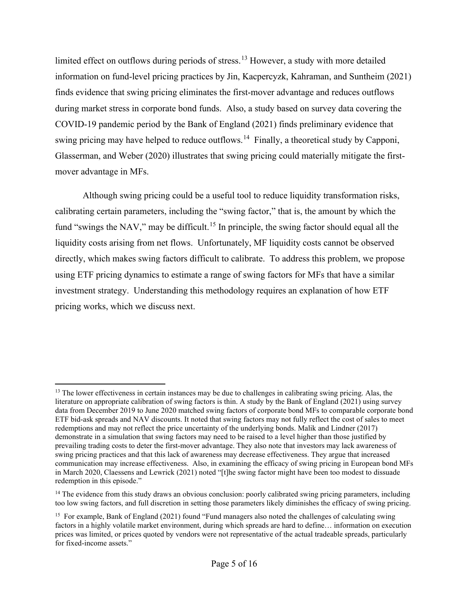limited effect on outflows during periods of stress.<sup>[13](#page-5-0)</sup> However, a study with more detailed information on fund-level pricing practices by Jin, Kacpercyzk, Kahraman, and Suntheim (2021) finds evidence that swing pricing eliminates the first-mover advantage and reduces outflows during market stress in corporate bond funds. Also, a study based on survey data covering the COVID-19 pandemic period by the Bank of England (2021) finds preliminary evidence that swing pricing may have helped to reduce outflows.<sup>[14](#page-5-1)</sup> Finally, a theoretical study by Capponi, Glasserman, and Weber (2020) illustrates that swing pricing could materially mitigate the firstmover advantage in MFs.

Although swing pricing could be a useful tool to reduce liquidity transformation risks, calibrating certain parameters, including the "swing factor," that is, the amount by which the fund "swings the NAV," may be difficult.<sup>[15](#page-5-2)</sup> In principle, the swing factor should equal all the liquidity costs arising from net flows. Unfortunately, MF liquidity costs cannot be observed directly, which makes swing factors difficult to calibrate. To address this problem, we propose using ETF pricing dynamics to estimate a range of swing factors for MFs that have a similar investment strategy. Understanding this methodology requires an explanation of how ETF pricing works, which we discuss next.

<span id="page-5-0"></span><sup>&</sup>lt;sup>13</sup> The lower effectiveness in certain instances may be due to challenges in calibrating swing pricing. Alas, the literature on appropriate calibration of swing factors is thin. A study by the Bank of England (2021) using survey data from December 2019 to June 2020 matched swing factors of corporate bond MFs to comparable corporate bond ETF bid-ask spreads and NAV discounts. It noted that swing factors may not fully reflect the cost of sales to meet redemptions and may not reflect the price uncertainty of the underlying bonds. Malik and Lindner (2017) demonstrate in a simulation that swing factors may need to be raised to a level higher than those justified by prevailing trading costs to deter the first-mover advantage. They also note that investors may lack awareness of swing pricing practices and that this lack of awareness may decrease effectiveness. They argue that increased communication may increase effectiveness. Also, in examining the efficacy of swing pricing in European bond MFs in March 2020, Claessens and Lewrick (2021) noted "[t]he swing factor might have been too modest to dissuade redemption in this episode."

<span id="page-5-1"></span> $<sup>14</sup>$  The evidence from this study draws an obvious conclusion: poorly calibrated swing pricing parameters, including</sup> too low swing factors, and full discretion in setting those parameters likely diminishes the efficacy of swing pricing.

<span id="page-5-2"></span><sup>&</sup>lt;sup>15</sup> For example, Bank of England (2021) found "Fund managers also noted the challenges of calculating swing factors in a highly volatile market environment, during which spreads are hard to define… information on execution prices was limited, or prices quoted by vendors were not representative of the actual tradeable spreads, particularly for fixed-income assets."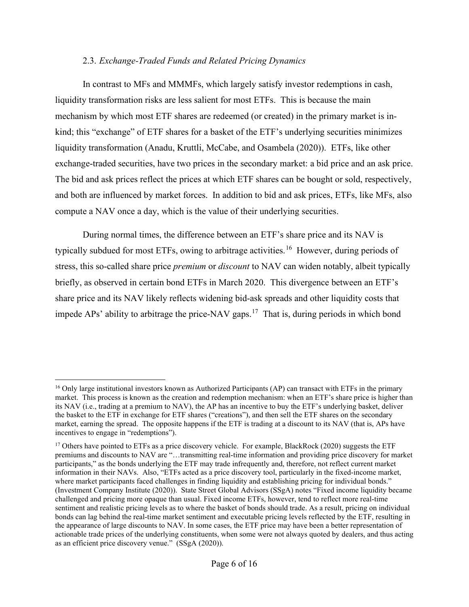#### 2.3. *Exchange-Traded Funds and Related Pricing Dynamics*

In contrast to MFs and MMMFs, which largely satisfy investor redemptions in cash, liquidity transformation risks are less salient for most ETFs. This is because the main mechanism by which most ETF shares are redeemed (or created) in the primary market is inkind; this "exchange" of ETF shares for a basket of the ETF's underlying securities minimizes liquidity transformation (Anadu, Kruttli, McCabe, and Osambela (2020)). ETFs, like other exchange-traded securities, have two prices in the secondary market: a bid price and an ask price. The bid and ask prices reflect the prices at which ETF shares can be bought or sold, respectively, and both are influenced by market forces. In addition to bid and ask prices, ETFs, like MFs, also compute a NAV once a day, which is the value of their underlying securities.

During normal times, the difference between an ETF's share price and its NAV is typically subdued for most ETFs, owing to arbitrage activities.<sup>[16](#page-6-0)</sup> However, during periods of stress, this so-called share price *premium* or *discount* to NAV can widen notably, albeit typically briefly, as observed in certain bond ETFs in March 2020. This divergence between an ETF's share price and its NAV likely reflects widening bid-ask spreads and other liquidity costs that impede APs' ability to arbitrage the price-NAV gaps.<sup>[17](#page-6-1)</sup> That is, during periods in which bond

<span id="page-6-0"></span><sup>&</sup>lt;sup>16</sup> Only large institutional investors known as Authorized Participants (AP) can transact with ETFs in the primary market. This process is known as the creation and redemption mechanism: when an ETF's share price is higher than its NAV (i.e., trading at a premium to NAV), the AP has an incentive to buy the ETF's underlying basket, deliver the basket to the ETF in exchange for ETF shares ("creations"), and then sell the ETF shares on the secondary market, earning the spread. The opposite happens if the ETF is trading at a discount to its NAV (that is, APs have incentives to engage in "redemptions").

<span id="page-6-1"></span><sup>&</sup>lt;sup>17</sup> Others have pointed to ETFs as a price discovery vehicle. For example, BlackRock (2020) suggests the ETF premiums and discounts to NAV are "…transmitting real-time information and providing price discovery for market participants," as the bonds underlying the ETF may trade infrequently and, therefore, not reflect current market information in their NAVs. Also, "ETFs acted as a price discovery tool, particularly in the fixed-income market, where market participants faced challenges in finding liquidity and establishing pricing for individual bonds." (Investment Company Institute (2020)). State Street Global Advisors (SSgA) notes "Fixed income liquidity became challenged and pricing more opaque than usual. Fixed income ETFs, however, tend to reflect more real-time sentiment and realistic pricing levels as to where the basket of bonds should trade. As a result, pricing on individual bonds can lag behind the real-time market sentiment and executable pricing levels reflected by the ETF, resulting in the appearance of large discounts to NAV. In some cases, the ETF price may have been a better representation of actionable trade prices of the underlying constituents, when some were not always quoted by dealers, and thus acting as an efficient price discovery venue." (SSgA (2020)).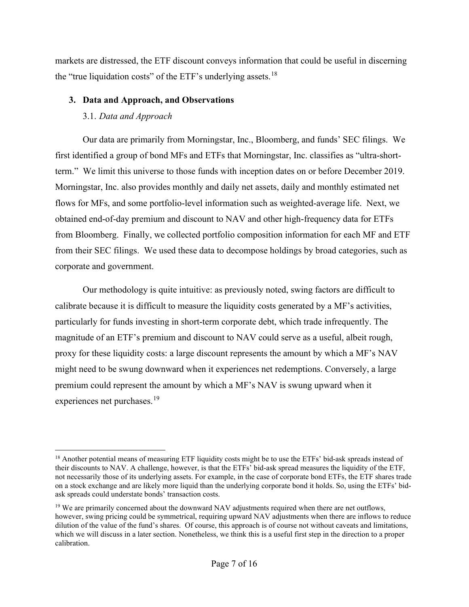markets are distressed, the ETF discount conveys information that could be useful in discerning the "true liquidation costs" of the ETF's underlying assets. $18$ 

## **3. Data and Approach, and Observations**

## 3.1. *Data and Approach*

Our data are primarily from Morningstar, Inc., Bloomberg, and funds' SEC filings. We first identified a group of bond MFs and ETFs that Morningstar, Inc. classifies as "ultra-shortterm." We limit this universe to those funds with inception dates on or before December 2019. Morningstar, Inc. also provides monthly and daily net assets, daily and monthly estimated net flows for MFs, and some portfolio-level information such as weighted-average life. Next, we obtained end-of-day premium and discount to NAV and other high-frequency data for ETFs from Bloomberg. Finally, we collected portfolio composition information for each MF and ETF from their SEC filings. We used these data to decompose holdings by broad categories, such as corporate and government.

Our methodology is quite intuitive: as previously noted, swing factors are difficult to calibrate because it is difficult to measure the liquidity costs generated by a MF's activities, particularly for funds investing in short-term corporate debt, which trade infrequently. The magnitude of an ETF's premium and discount to NAV could serve as a useful, albeit rough, proxy for these liquidity costs: a large discount represents the amount by which a MF's NAV might need to be swung downward when it experiences net redemptions. Conversely, a large premium could represent the amount by which a MF's NAV is swung upward when it experiences net purchases.<sup>[19](#page-7-1)</sup>

<span id="page-7-0"></span><sup>&</sup>lt;sup>18</sup> Another potential means of measuring ETF liquidity costs might be to use the ETFs' bid-ask spreads instead of their discounts to NAV. A challenge, however, is that the ETFs' bid-ask spread measures the liquidity of the ETF, not necessarily those of its underlying assets. For example, in the case of corporate bond ETFs, the ETF shares trade on a stock exchange and are likely more liquid than the underlying corporate bond it holds. So, using the ETFs' bidask spreads could understate bonds' transaction costs.

<span id="page-7-1"></span><sup>&</sup>lt;sup>19</sup> We are primarily concerned about the downward NAV adjustments required when there are net outflows, however, swing pricing could be symmetrical, requiring upward NAV adjustments when there are inflows to reduce dilution of the value of the fund's shares. Of course, this approach is of course not without caveats and limitations, which we will discuss in a later section. Nonetheless, we think this is a useful first step in the direction to a proper calibration.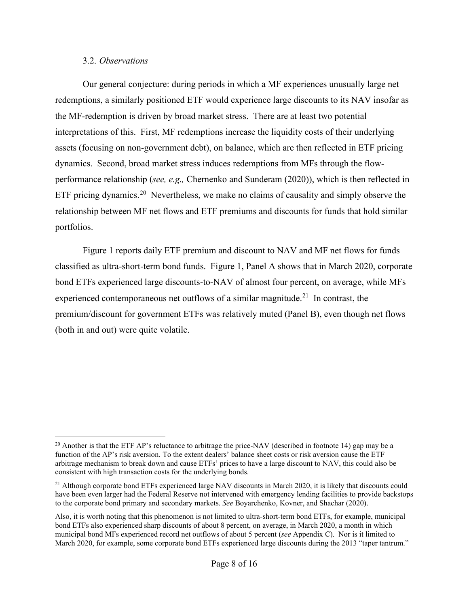#### 3.2. *Observations*

Our general conjecture: during periods in which a MF experiences unusually large net redemptions, a similarly positioned ETF would experience large discounts to its NAV insofar as the MF-redemption is driven by broad market stress. There are at least two potential interpretations of this. First, MF redemptions increase the liquidity costs of their underlying assets (focusing on non-government debt), on balance, which are then reflected in ETF pricing dynamics. Second, broad market stress induces redemptions from MFs through the flowperformance relationship (*see, e.g.,* Chernenko and Sunderam (2020)), which is then reflected in ETF pricing dynamics.<sup>[20](#page-8-0)</sup> Nevertheless, we make no claims of causality and simply observe the relationship between MF net flows and ETF premiums and discounts for funds that hold similar portfolios.

Figure 1 reports daily ETF premium and discount to NAV and MF net flows for funds classified as ultra-short-term bond funds. Figure 1, Panel A shows that in March 2020, corporate bond ETFs experienced large discounts-to-NAV of almost four percent, on average, while MFs experienced contemporaneous net outflows of a similar magnitude.<sup>[21](#page-8-1)</sup> In contrast, the premium/discount for government ETFs was relatively muted (Panel B), even though net flows (both in and out) were quite volatile.

<span id="page-8-0"></span><sup>&</sup>lt;sup>20</sup> Another is that the ETF AP's reluctance to arbitrage the price-NAV (described in footnote 14) gap may be a function of the AP's risk aversion. To the extent dealers' balance sheet costs or risk aversion cause the ETF arbitrage mechanism to break down and cause ETFs' prices to have a large discount to NAV, this could also be consistent with high transaction costs for the underlying bonds.

<span id="page-8-1"></span><sup>&</sup>lt;sup>21</sup> Although corporate bond ETFs experienced large NAV discounts in March 2020, it is likely that discounts could have been even larger had the Federal Reserve not intervened with emergency lending facilities to provide backstops to the corporate bond primary and secondary markets. *See* Boyarchenko, Kovner, and Shachar (2020).

Also, it is worth noting that this phenomenon is not limited to ultra-short-term bond ETFs, for example, municipal bond ETFs also experienced sharp discounts of about 8 percent, on average, in March 2020, a month in which municipal bond MFs experienced record net outflows of about 5 percent (*see* Appendix C). Nor is it limited to March 2020, for example, some corporate bond ETFs experienced large discounts during the 2013 "taper tantrum."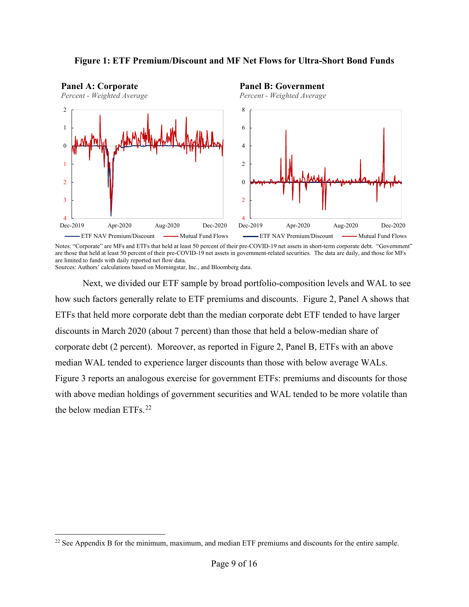

#### **Figure 1: ETF Premium/Discount and MF Net Flows for Ultra-Short Bond Funds**

Notes: "Corporate" are MFs and ETFs that held at least 50 percent of their pre-COVID-19 net assets in short-term corporate debt. "Government" are those that held at least 50 percent of their pre-COVID-19 net assets in government-related securities. The data are daily, and those for MFs are limited to funds with daily reported net flow data.

Sources: Authors' calculations based on Morningstar, Inc., and Bloomberg data.

Next, we divided our ETF sample by broad portfolio-composition levels and WAL to see how such factors generally relate to ETF premiums and discounts. Figure 2, Panel A shows that ETFs that held more corporate debt than the median corporate debt ETF tended to have larger discounts in March 2020 (about 7 percent) than those that held a below-median share of corporate debt (2 percent). Moreover, as reported in Figure 2, Panel B, ETFs with an above median WAL tended to experience larger discounts than those with below average WALs. Figure 3 reports an analogous exercise for government ETFs: premiums and discounts for those with above median holdings of government securities and WAL tended to be more volatile than the below median ETFs.<sup>[22](#page-9-0)</sup>

<span id="page-9-0"></span><sup>&</sup>lt;sup>22</sup> See Appendix B for the minimum, maximum, and median ETF premiums and discounts for the entire sample.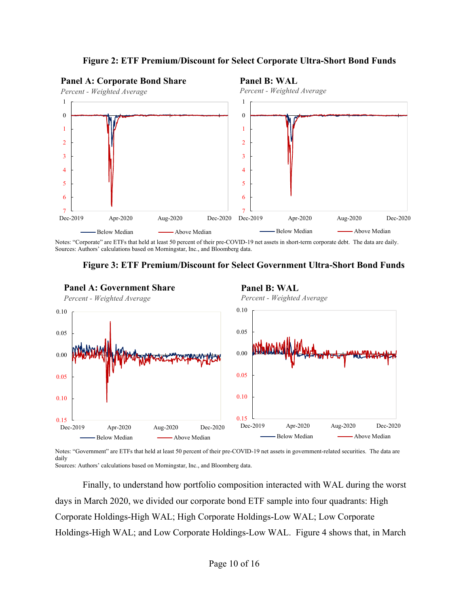

#### **Figure 2: ETF Premium/Discount for Select Corporate Ultra-Short Bond Funds**

**Panel B: WAL**

Notes: "Corporate" are ETFs that held at least 50 percent of their pre-COVID-19 net assets in short-term corporate debt. The data are daily. Sources: Authors' calculations based on Morningstar, Inc., and Bloomberg data.





Notes: "Government" are ETFs that held at least 50 percent of their pre-COVID-19 net assets in government-related securities. The data are daily Sources: Authors' calculations based on Morningstar, Inc., and Bloomberg data.

Finally, to understand how portfolio composition interacted with WAL during the worst days in March 2020, we divided our corporate bond ETF sample into four quadrants: High Corporate Holdings-High WAL; High Corporate Holdings-Low WAL; Low Corporate Holdings-High WAL; and Low Corporate Holdings-Low WAL. Figure 4 shows that, in March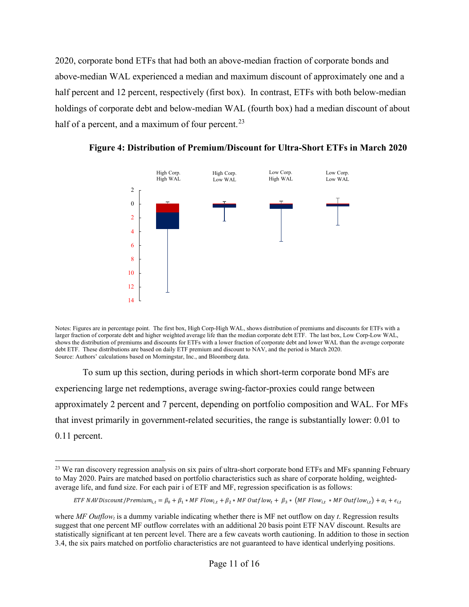2020, corporate bond ETFs that had both an above-median fraction of corporate bonds and above-median WAL experienced a median and maximum discount of approximately one and a half percent and 12 percent, respectively (first box). In contrast, ETFs with both below-median holdings of corporate debt and below-median WAL (fourth box) had a median discount of about half of a percent, and a maximum of four percent. $^{23}$ 



**Figure 4: Distribution of Premium/Discount for Ultra-Short ETFs in March 2020**

Notes: Figures are in percentage point. The first box, High Corp-High WAL, shows distribution of premiums and discounts for ETFs with a larger fraction of corporate debt and higher weighted average life than the median corporate debt ETF. The last box, Low Corp-Low WAL, shows the distribution of premiums and discounts for ETFs with a lower fraction of corporate debt and lower WAL than the average corporate debt ETF. These distributions are based on daily ETF premium and discount to NAV, and the period is March 2020. Source: Authors' calculations based on Morningstar, Inc., and Bloomberg data.

To sum up this section, during periods in which short-term corporate bond MFs are experiencing large net redemptions, average swing-factor-proxies could range between approximately 2 percent and 7 percent, depending on portfolio composition and WAL. For MFs that invest primarily in government-related securities, the range is substantially lower: 0.01 to 0.11 percent.

<span id="page-11-0"></span><sup>&</sup>lt;sup>23</sup> We ran discovery regression analysis on six pairs of ultra-short corporate bond ETFs and MFs spanning February to May 2020. Pairs are matched based on portfolio characteristics such as share of corporate holding, weightedaverage life, and fund size. For each pair i of ETF and MF, regression specification is as follows:

ETF NAV Discount / Premium<sub>it</sub> =  $\beta_0 + \beta_1 * MF$  Flow<sub>it</sub> +  $\beta_2 * MF$  Outflow<sub>t</sub> +  $\beta_3 * (MF$  Flow<sub>it</sub> \* MF Outflow<sub>it</sub>) +  $\alpha_i$  +  $\epsilon_{i,t}$ 

where *MF Outflow<sub>t</sub>* is a dummy variable indicating whether there is MF net outflow on day *t*. Regression results suggest that one percent MF outflow correlates with an additional 20 basis point ETF NAV discount. Results are statistically significant at ten percent level. There are a few caveats worth cautioning. In addition to those in section 3.4, the six pairs matched on portfolio characteristics are not guaranteed to have identical underlying positions.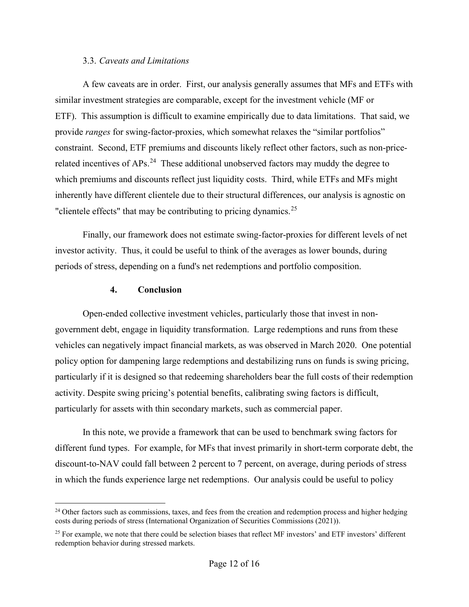#### 3.3. *Caveats and Limitations*

A few caveats are in order. First, our analysis generally assumes that MFs and ETFs with similar investment strategies are comparable, except for the investment vehicle (MF or ETF). This assumption is difficult to examine empirically due to data limitations. That said, we provide *ranges* for swing-factor-proxies, which somewhat relaxes the "similar portfolios" constraint. Second, ETF premiums and discounts likely reflect other factors, such as non-pricerelated incentives of  $APs$ .<sup>[24](#page-12-0)</sup> These additional unobserved factors may muddy the degree to which premiums and discounts reflect just liquidity costs. Third, while ETFs and MFs might inherently have different clientele due to their structural differences, our analysis is agnostic on "clientele effects" that may be contributing to pricing dynamics.<sup>[25](#page-12-1)</sup>

Finally, our framework does not estimate swing-factor-proxies for different levels of net investor activity. Thus, it could be useful to think of the averages as lower bounds, during periods of stress, depending on a fund's net redemptions and portfolio composition.

#### **4. Conclusion**

Open-ended collective investment vehicles, particularly those that invest in nongovernment debt, engage in liquidity transformation. Large redemptions and runs from these vehicles can negatively impact financial markets, as was observed in March 2020. One potential policy option for dampening large redemptions and destabilizing runs on funds is swing pricing, particularly if it is designed so that redeeming shareholders bear the full costs of their redemption activity. Despite swing pricing's potential benefits, calibrating swing factors is difficult, particularly for assets with thin secondary markets, such as commercial paper.

In this note, we provide a framework that can be used to benchmark swing factors for different fund types. For example, for MFs that invest primarily in short-term corporate debt, the discount-to-NAV could fall between 2 percent to 7 percent, on average, during periods of stress in which the funds experience large net redemptions. Our analysis could be useful to policy

<span id="page-12-0"></span> $24$  Other factors such as commissions, taxes, and fees from the creation and redemption process and higher hedging costs during periods of stress (International Organization of Securities Commissions (2021)).

<span id="page-12-1"></span> $25$  For example, we note that there could be selection biases that reflect MF investors' and ETF investors' different redemption behavior during stressed markets.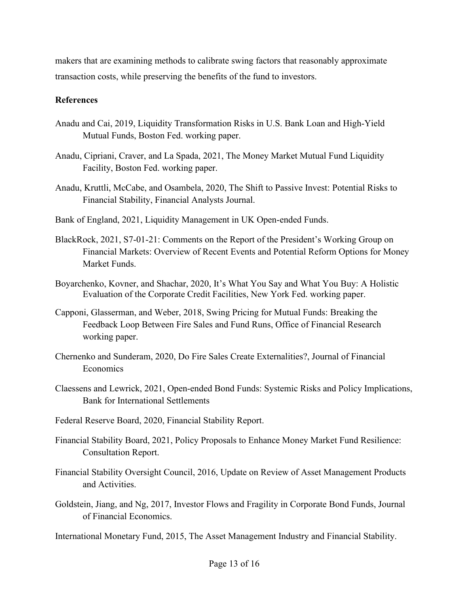makers that are examining methods to calibrate swing factors that reasonably approximate transaction costs, while preserving the benefits of the fund to investors.

## **References**

- Anadu and Cai, 2019, Liquidity Transformation Risks in U.S. Bank Loan and High-Yield Mutual Funds, Boston Fed. working paper.
- Anadu, Cipriani, Craver, and La Spada, 2021, The Money Market Mutual Fund Liquidity Facility, Boston Fed. working paper.
- Anadu, Kruttli, McCabe, and Osambela, 2020, The Shift to Passive Invest: Potential Risks to Financial Stability, Financial Analysts Journal.
- Bank of England, 2021, Liquidity Management in UK Open-ended Funds.
- BlackRock, 2021, S7-01-21: Comments on the Report of the President's Working Group on Financial Markets: Overview of Recent Events and Potential Reform Options for Money Market Funds.
- Boyarchenko, Kovner, and Shachar, 2020, It's What You Say and What You Buy: A Holistic Evaluation of the Corporate Credit Facilities, New York Fed. working paper.
- Capponi, Glasserman, and Weber, 2018, Swing Pricing for Mutual Funds: Breaking the Feedback Loop Between Fire Sales and Fund Runs, Office of Financial Research working paper.
- Chernenko and Sunderam, 2020, Do Fire Sales Create Externalities?, Journal of Financial Economics
- Claessens and Lewrick, 2021, Open-ended Bond Funds: Systemic Risks and Policy Implications, Bank for International Settlements
- Federal Reserve Board, 2020, Financial Stability Report.
- Financial Stability Board, 2021, Policy Proposals to Enhance Money Market Fund Resilience: Consultation Report.
- Financial Stability Oversight Council, 2016, Update on Review of Asset Management Products and Activities.
- Goldstein, Jiang, and Ng, 2017, Investor Flows and Fragility in Corporate Bond Funds, Journal of Financial Economics.
- International Monetary Fund, 2015, The Asset Management Industry and Financial Stability.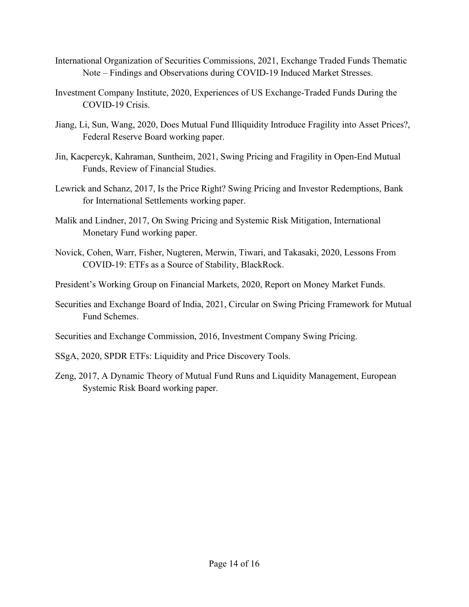- International Organization of Securities Commissions, 2021, Exchange Traded Funds Thematic Note – Findings and Observations during COVID-19 Induced Market Stresses.
- Investment Company Institute, 2020, Experiences of US Exchange-Traded Funds During the COVID-19 Crisis.
- Jiang, Li, Sun, Wang, 2020, Does Mutual Fund Illiquidity Introduce Fragility into Asset Prices?, Federal Reserve Board working paper.
- Jin, Kacpercyk, Kahraman, Suntheim, 2021, Swing Pricing and Fragility in Open-End Mutual Funds, Review of Financial Studies.
- Lewrick and Schanz, 2017, Is the Price Right? Swing Pricing and Investor Redemptions, Bank for International Settlements working paper.
- Malik and Lindner, 2017, On Swing Pricing and Systemic Risk Mitigation, International Monetary Fund working paper.
- Novick, Cohen, Warr, Fisher, Nugteren, Merwin, Tiwari, and Takasaki, 2020, Lessons From COVID-19: ETFs as a Source of Stability, BlackRock.
- President's Working Group on Financial Markets, 2020, Report on Money Market Funds.
- Securities and Exchange Board of India, 2021, Circular on Swing Pricing Framework for Mutual Fund Schemes.
- Securities and Exchange Commission, 2016, Investment Company Swing Pricing.
- SSgA, 2020, SPDR ETFs: Liquidity and Price Discovery Tools.
- Zeng, 2017, A Dynamic Theory of Mutual Fund Runs and Liquidity Management, European Systemic Risk Board working paper.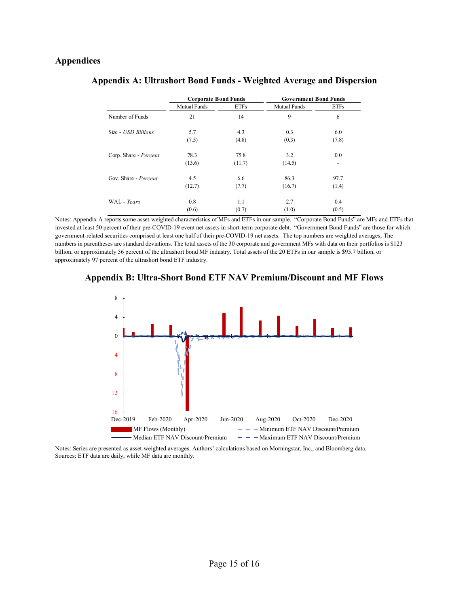#### **Appendices**

|                             | <b>Corporate Bond Funds</b> |             | <b>Government Bond Funds</b> |             |
|-----------------------------|-----------------------------|-------------|------------------------------|-------------|
|                             | Mutual Funds                | <b>ETFs</b> | Mutual Funds                 | <b>ETFs</b> |
| Number of Funds             | 21                          | 14          | 9                            | 6           |
| Size - USD Billions         | 5.7                         | 4.3         | 0.3                          | 6.0         |
|                             | (7.5)                       | (4.8)       | (0.3)                        | (7.8)       |
| Corp. Share - Percent       | 78.3                        | 75.8        | 3.2                          | 0.0         |
|                             | (13.6)                      | (11.7)      | (14.5)                       |             |
| Gov. Share - <i>Percent</i> | 4.5                         | 6.6         | 86.3                         | 97.7        |
|                             | (12.7)                      | (7.7)       | (16.7)                       | (1.4)       |
| WAL - Years                 | 0.8                         | 1.1         | 2.7                          | 0.4         |
|                             | (0.6)                       | (0.7)       | (1.0)                        | (0.5)       |

#### **Appendix A: Ultrashort Bond Funds - Weighted Average and Dispersion**

Notes: Appendix A reports some asset-weighted characteristics of MFs and ETFs in our sample. "Corporate Bond Funds" are MFs and ETFs that invested at least 50 percent of their pre-COVID-19 event net assets in short-term corporate debt. "Government Bond Funds" are those for which government-related securities comprised at least one half of their pre-COVID-19 net assets. The top numbers are weighted averages; The numbers in parentheses are standard deviations. The total assets of the 30 corporate and government MFs with data on their portfolios is \$123 billion, or approximately 56 percent of the ultrashort bond MF industry. Total assets of the 20 ETFs in our sample is \$95.7 billion, or approximately 97 percent of the ultrashort bond ETF industry.





Notes: Series are presented as asset-weighted averages. Authors' calculations based on Morningstar, Inc., and Bloomberg data. Sources: ETF data are daily, while MF data are monthly.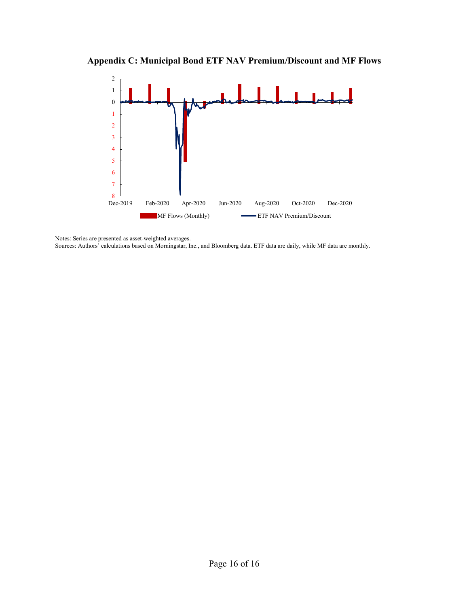**Appendix C: Municipal Bond ETF NAV Premium/Discount and MF Flows**



Notes: Series are presented as asset-weighted averages.

Sources: Authors' calculations based on Morningstar, Inc., and Bloomberg data. ETF data are daily, while MF data are monthly.